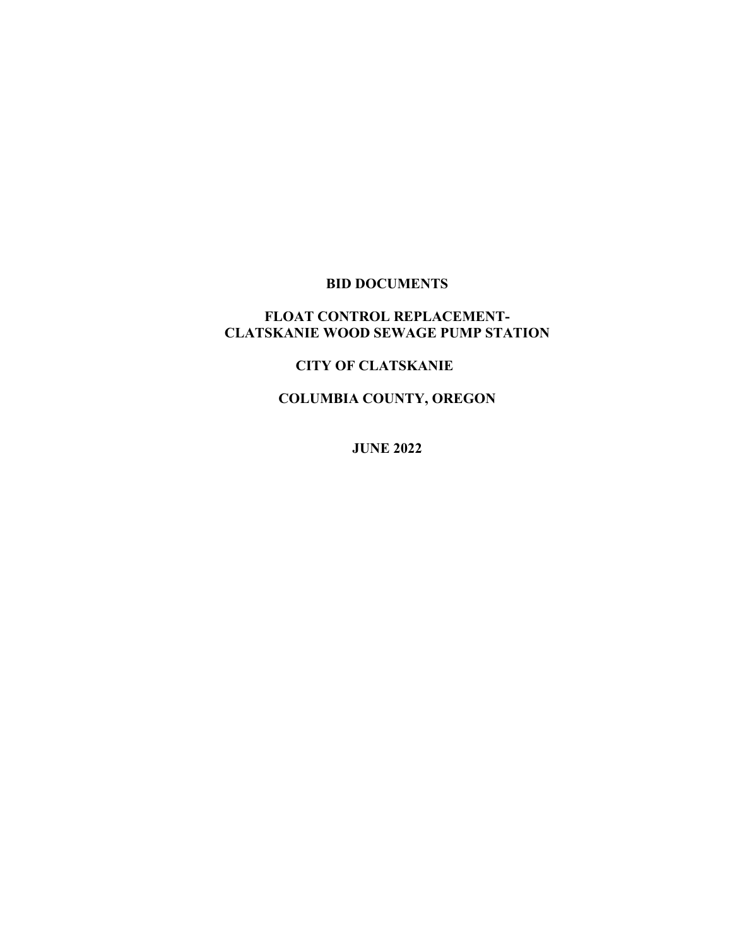# **BID DOCUMENTS**

### **FLOAT CONTROL REPLACEMENT-CLATSKANIE WOOD SEWAGE PUMP STATION**

## **CITY OF CLATSKANIE**

**COLUMBIA COUNTY, OREGON**

**JUNE 2022**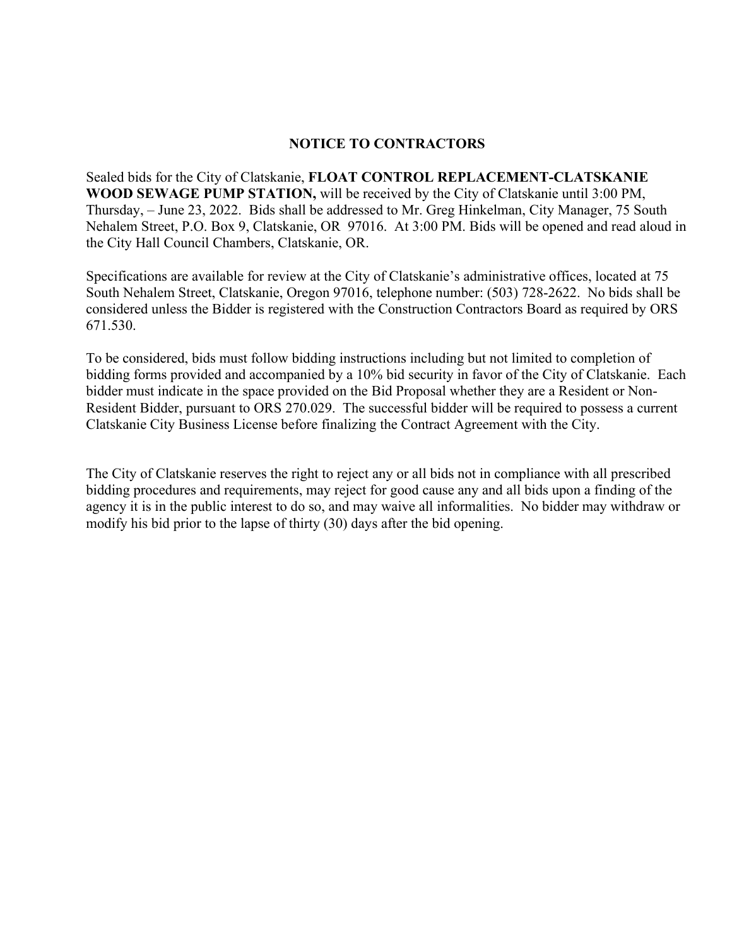### **NOTICE TO CONTRACTORS**

Sealed bids for the City of Clatskanie, **FLOAT CONTROL REPLACEMENT-CLATSKANIE WOOD SEWAGE PUMP STATION,** will be received by the City of Clatskanie until 3:00 PM, Thursday, – June 23, 2022. Bids shall be addressed to Mr. Greg Hinkelman, City Manager, 75 South Nehalem Street, P.O. Box 9, Clatskanie, OR 97016. At 3:00 PM. Bids will be opened and read aloud in the City Hall Council Chambers, Clatskanie, OR.

Specifications are available for review at the City of Clatskanie's administrative offices, located at 75 South Nehalem Street, Clatskanie, Oregon 97016, telephone number: (503) 728-2622. No bids shall be considered unless the Bidder is registered with the Construction Contractors Board as required by ORS 671.530.

To be considered, bids must follow bidding instructions including but not limited to completion of bidding forms provided and accompanied by a 10% bid security in favor of the City of Clatskanie. Each bidder must indicate in the space provided on the Bid Proposal whether they are a Resident or Non-Resident Bidder, pursuant to ORS 270.029. The successful bidder will be required to possess a current Clatskanie City Business License before finalizing the Contract Agreement with the City.

The City of Clatskanie reserves the right to reject any or all bids not in compliance with all prescribed bidding procedures and requirements, may reject for good cause any and all bids upon a finding of the agency it is in the public interest to do so, and may waive all informalities. No bidder may withdraw or modify his bid prior to the lapse of thirty (30) days after the bid opening.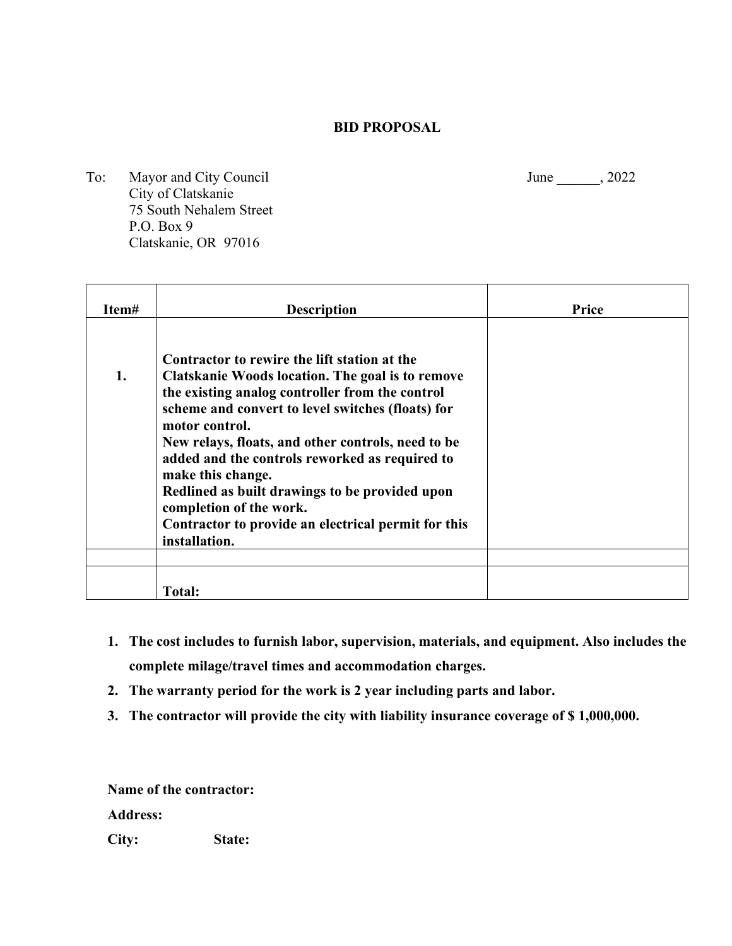### **BID PROPOSAL**

To: Mayor and City Council June 1, 2022 City of Clatskanie 75 South Nehalem Street P.O. Box 9 Clatskanie, OR 97016

| Item# | <b>Description</b>                                                                                                                                                                                                                                                                                                                                                                                                                                                                                           | <b>Price</b> |
|-------|--------------------------------------------------------------------------------------------------------------------------------------------------------------------------------------------------------------------------------------------------------------------------------------------------------------------------------------------------------------------------------------------------------------------------------------------------------------------------------------------------------------|--------------|
| 1.    | Contractor to rewire the lift station at the<br>Clatskanie Woods location. The goal is to remove<br>the existing analog controller from the control<br>scheme and convert to level switches (floats) for<br>motor control.<br>New relays, floats, and other controls, need to be<br>added and the controls reworked as required to<br>make this change.<br>Redlined as built drawings to be provided upon<br>completion of the work.<br>Contractor to provide an electrical permit for this<br>installation. |              |
|       | <b>Total:</b>                                                                                                                                                                                                                                                                                                                                                                                                                                                                                                |              |

- **1. The cost includes to furnish labor, supervision, materials, and equipment. Also includes the complete milage/travel times and accommodation charges.**
- **2. The warranty period for the work is 2 year including parts and labor.**
- **3. The contractor will provide the city with liability insurance coverage of \$ 1,000,000.**

**Name of the contractor:** 

**Address:**

**City: State:**